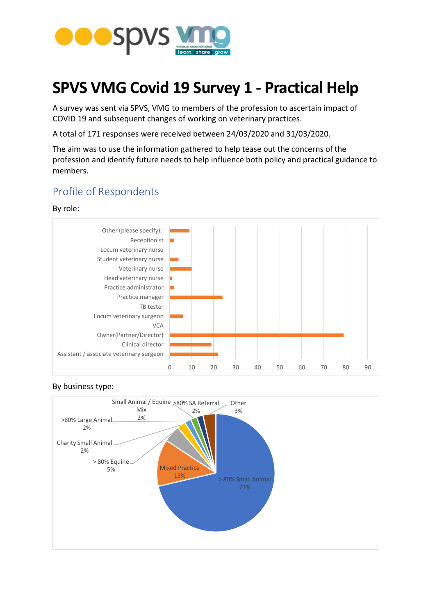

# **SPVS VMG Covid 19 Survey 1 - Practical Help**

A survey was sent via SPVS, VMG to members of the profession to ascertain impact of COVID 19 and subsequent changes of working on veterinary practices.

A total of 171 responses were received between 24/03/2020 and 31/03/2020.

The aim was to use the information gathered to help tease out the concerns of the profession and identify future needs to help influence both policy and practical guidance to members.

## Profile of Respondents

#### By role:





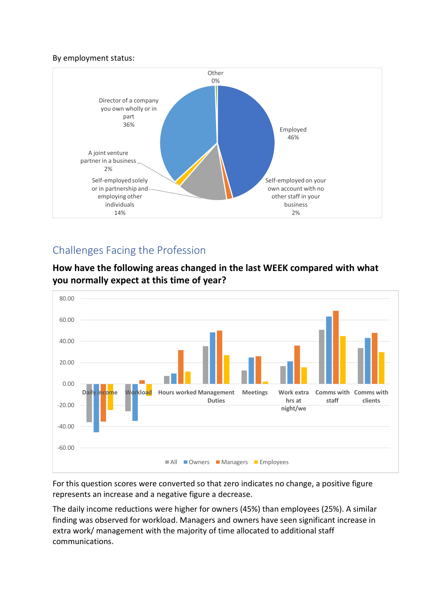#### By employment status:



# Challenges Facing the Profession

**How have the following areas changed in the last WEEK compared with what you normally expect at this time of year?**



For this question scores were converted so that zero indicates no change, a positive figure represents an increase and a negative figure a decrease.

The daily income reductions were higher for owners (45%) than employees (25%). A similar finding was observed for workload. Managers and owners have seen significant increase in extra work/ management with the majority of time allocated to additional staff communications.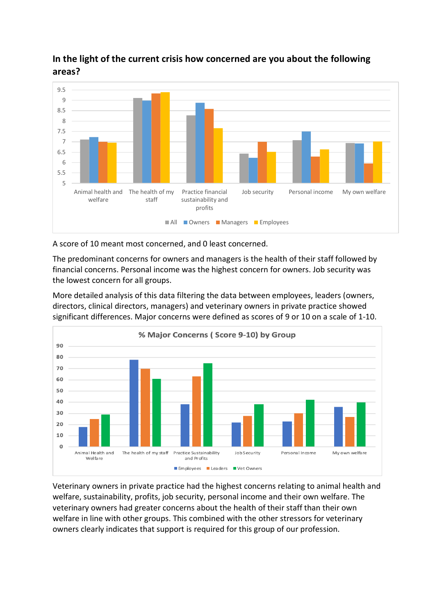

## **In the light of the current crisis how concerned are you about the following areas?**

A score of 10 meant most concerned, and 0 least concerned.

The predominant concerns for owners and managers is the health of their staff followed by financial concerns. Personal income was the highest concern for owners. Job security was the lowest concern for all groups.

More detailed analysis of this data filtering the data between employees, leaders (owners, directors, clinical directors, managers) and veterinary owners in private practice showed significant differences. Major concerns were defined as scores of 9 or 10 on a scale of 1-10.



Veterinary owners in private practice had the highest concerns relating to animal health and welfare, sustainability, profits, job security, personal income and their own welfare. The veterinary owners had greater concerns about the health of their staff than their own welfare in line with other groups. This combined with the other stressors for veterinary owners clearly indicates that support is required for this group of our profession.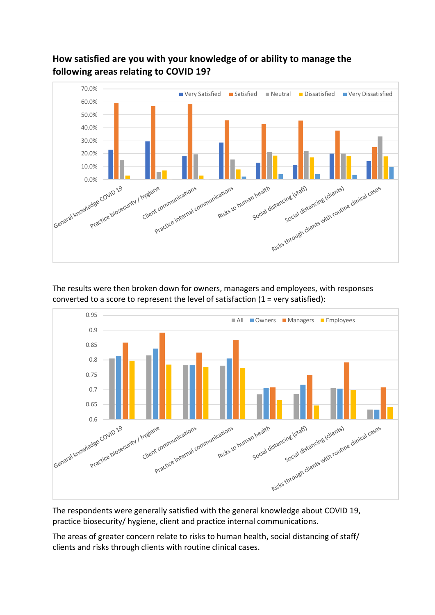## **How satisfied are you with your knowledge of or ability to manage the following areas relating to COVID 19?**



The results were then broken down for owners, managers and employees, with responses converted to a score to represent the level of satisfaction (1 = very satisfied):



The respondents were generally satisfied with the general knowledge about COVID 19, practice biosecurity/ hygiene, client and practice internal communications.

The areas of greater concern relate to risks to human health, social distancing of staff/ clients and risks through clients with routine clinical cases.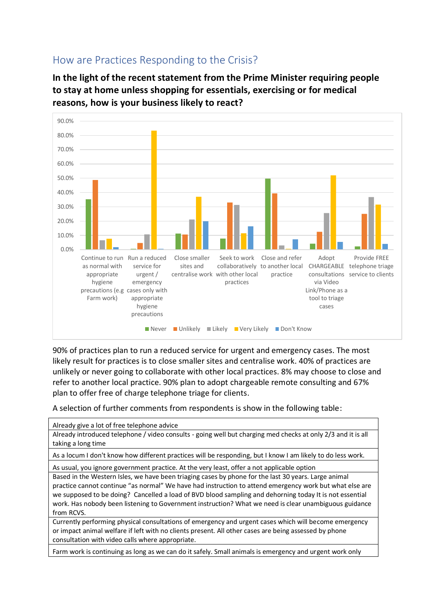

**In the light of the recent statement from the Prime Minister requiring people to stay at home unless shopping for essentials, exercising or for medical reasons, how is your business likely to react?**



90% of practices plan to run a reduced service for urgent and emergency cases. The most likely result for practices is to close smaller sites and centralise work. 40% of practices are unlikely or never going to collaborate with other local practices. 8% may choose to close and refer to another local practice. 90% plan to adopt chargeable remote consulting and 67% plan to offer free of charge telephone triage for clients.

A selection of further comments from respondents is show in the following table:

| Already give a lot of free telephone advice                                                                  |
|--------------------------------------------------------------------------------------------------------------|
| Already introduced telephone / video consults - going well but charging med checks at only 2/3 and it is all |
| taking a long time                                                                                           |
| As a locum I don't know how different practices will be responding, but I know I am likely to do less work.  |
| As usual, you ignore government practice. At the very least, offer a not applicable option                   |
| Based in the Western Isles, we have been triaging cases by phone for the last 30 years. Large animal         |
| practice cannot continue "as normal" We have had instruction to attend emergency work but what else are      |
| we supposed to be doing? Cancelled a load of BVD blood sampling and dehorning today It is not essential      |
| work. Has nobody been listening to Government instruction? What we need is clear unambiguous guidance        |
| from RCVS.                                                                                                   |
| Currently performing physical consultations of emergency and urgent cases which will become emergency        |
| or impact animal welfare if left with no clients present. All other cases are being assessed by phone        |
| consultation with video calls where appropriate.                                                             |
| Farm work is continuing as long as we can do it safely. Small animals is emergency and urgent work only      |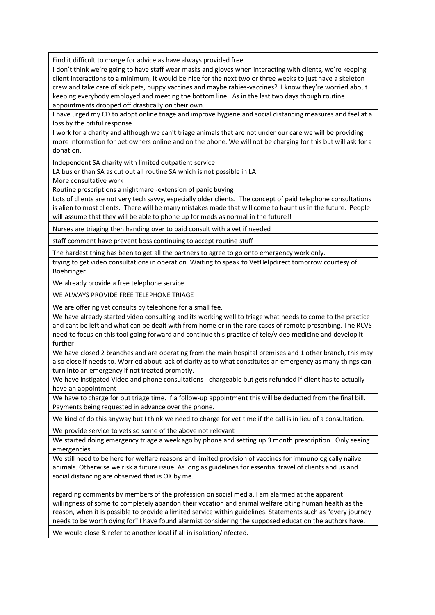Find it difficult to charge for advice as have always provided free .

I don't think we're going to have staff wear masks and gloves when interacting with clients, we're keeping client interactions to a minimum, It would be nice for the next two or three weeks to just have a skeleton crew and take care of sick pets, puppy vaccines and maybe rabies-vaccines? I know they're worried about keeping everybody employed and meeting the bottom line. As in the last two days though routine appointments dropped off drastically on their own.

I have urged my CD to adopt online triage and improve hygiene and social distancing measures and feel at a loss by the pitiful response

I work for a charity and although we can't triage animals that are not under our care we will be providing more information for pet owners online and on the phone. We will not be charging for this but will ask for a donation.

Independent SA charity with limited outpatient service

LA busier than SA as cut out all routine SA which is not possible in LA

More consultative work

Routine prescriptions a nightmare -extension of panic buying

Lots of clients are not very tech savvy, especially older clients. The concept of paid telephone consultations is alien to most clients. There will be many mistakes made that will come to haunt us in the future. People will assume that they will be able to phone up for meds as normal in the future!!

Nurses are triaging then handing over to paid consult with a vet if needed

staff comment have prevent boss continuing to accept routine stuff

The hardest thing has been to get all the partners to agree to go onto emergency work only.

trying to get video consultations in operation. Waiting to speak to VetHelpdirect tomorrow courtesy of Boehringer

We already provide a free telephone service

WE ALWAYS PROVIDE FREE TELEPHONE TRIAGE

We are offering vet consults by telephone for a small fee.

We have already started video consulting and its working well to triage what needs to come to the practice and cant be left and what can be dealt with from home or in the rare cases of remote prescribing. The RCVS need to focus on this tool going forward and continue this practice of tele/video medicine and develop it further

We have closed 2 branches and are operating from the main hospital premises and 1 other branch, this may also close if needs to. Worried about lack of clarity as to what constitutes an emergency as many things can turn into an emergency if not treated promptly.

We have instigated Video and phone consultations - chargeable but gets refunded if client has to actually have an appointment

We have to charge for out triage time. If a follow-up appointment this will be deducted from the final bill. Payments being requested in advance over the phone.

We kind of do this anyway but I think we need to charge for vet time if the call is in lieu of a consultation.

We provide service to vets so some of the above not relevant

We started doing emergency triage a week ago by phone and setting up 3 month prescription. Only seeing emergencies

We still need to be here for welfare reasons and limited provision of vaccines for immunologically naiive animals. Otherwise we risk a future issue. As long as guidelines for essential travel of clients and us and social distancing are observed that is OK by me.

regarding comments by members of the profession on social media, I am alarmed at the apparent willingness of some to completely abandon their vocation and animal welfare citing human health as the reason, when it is possible to provide a limited service within guidelines. Statements such as "every journey needs to be worth dying for" I have found alarmist considering the supposed education the authors have.

We would close & refer to another local if all in isolation/infected.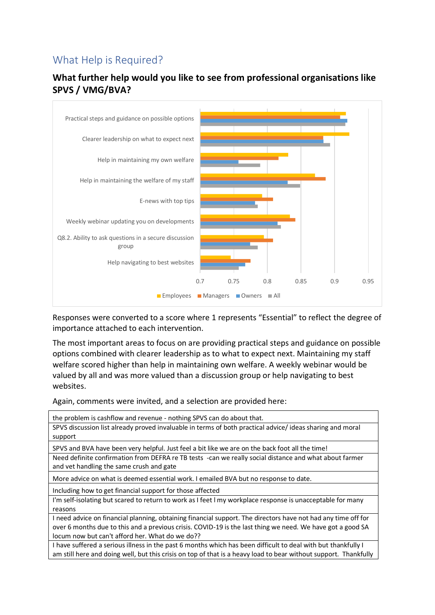# What Help is Required?





Responses were converted to a score where 1 represents "Essential" to reflect the degree of importance attached to each intervention.

The most important areas to focus on are providing practical steps and guidance on possible options combined with clearer leadership as to what to expect next. Maintaining my staff welfare scored higher than help in maintaining own welfare. A weekly webinar would be valued by all and was more valued than a discussion group or help navigating to best websites.

Again, comments were invited, and a selection are provided here:

| the problem is cashflow and revenue - nothing SPVS can do about that.                                            |
|------------------------------------------------------------------------------------------------------------------|
| SPVS discussion list already proved invaluable in terms of both practical advice/ideas sharing and moral         |
| support                                                                                                          |
| SPVS and BVA have been very helpful. Just feel a bit like we are on the back foot all the time!                  |
| Need definite confirmation from DEFRA re TB tests -can we really social distance and what about farmer           |
| and vet handling the same crush and gate                                                                         |
| More advice on what is deemed essential work. I emailed BVA but no response to date.                             |
| Including how to get financial support for those affected                                                        |
| I'm self-isolating but scared to return to work as I feet I my workplace response is unacceptable for many       |
| reasons                                                                                                          |
| I need advice on financial planning, obtaining financial support. The directors have not had any time off for    |
| over 6 months due to this and a previous crisis. COVID-19 is the last thing we need. We have got a good SA       |
| locum now but can't afford her. What do we do??                                                                  |
| I have suffered a serious illness in the past 6 months which has been difficult to deal with but thankfully I    |
| am still here and doing well, but this crisis on top of that is a heavy load to bear without support. Thankfully |